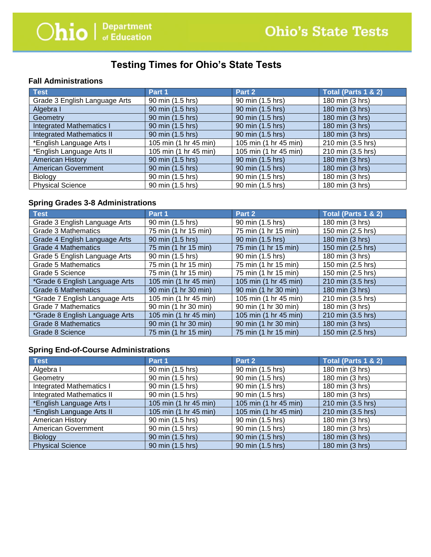# **Testing Times for Ohio's State Tests**

#### **Fall Administrations**

| <b>Test</b>                      | Part 1                | Part 2                | Total (Parts 1 & 2) |
|----------------------------------|-----------------------|-----------------------|---------------------|
| Grade 3 English Language Arts    | 90 min (1.5 hrs)      | 90 min (1.5 hrs)      | 180 min (3 hrs)     |
| Algebra I                        | 90 min (1.5 hrs)      | 90 min (1.5 hrs)      | 180 min (3 hrs)     |
| Geometry                         | 90 min (1.5 hrs)      | 90 min (1.5 hrs)      | 180 min (3 hrs)     |
| <b>Integrated Mathematics I</b>  | 90 min (1.5 hrs)      | 90 min (1.5 hrs)      | 180 min (3 hrs)     |
| <b>Integrated Mathematics II</b> | 90 min (1.5 hrs)      | 90 min (1.5 hrs)      | 180 min (3 hrs)     |
| *English Language Arts I         | 105 min (1 hr 45 min) | 105 min (1 hr 45 min) | 210 min (3.5 hrs)   |
| *English Language Arts II        | 105 min (1 hr 45 min) | 105 min (1 hr 45 min) | 210 min (3.5 hrs)   |
| <b>American History</b>          | 90 min (1.5 hrs)      | 90 min (1.5 hrs)      | 180 min (3 hrs)     |
| <b>American Government</b>       | 90 min (1.5 hrs)      | 90 min (1.5 hrs)      | 180 min (3 hrs)     |
| Biology                          | 90 min (1.5 hrs)      | 90 min (1.5 hrs)      | 180 min (3 hrs)     |
| <b>Physical Science</b>          | 90 min (1.5 hrs)      | 90 min (1.5 hrs)      | 180 min (3 hrs)     |

### **Spring Grades 3-8 Administrations**

| Test                           | Part 1                | Part 2                | Total (Parts 1 & 2) |
|--------------------------------|-----------------------|-----------------------|---------------------|
| Grade 3 English Language Arts  | 90 min (1.5 hrs)      | 90 min (1.5 hrs)      | 180 min (3 hrs)     |
| Grade 3 Mathematics            | 75 min (1 hr 15 min)  | 75 min (1 hr 15 min)  | 150 min (2.5 hrs)   |
| Grade 4 English Language Arts  | 90 min (1.5 hrs)      | 90 min (1.5 hrs)      | 180 min (3 hrs)     |
| <b>Grade 4 Mathematics</b>     | 75 min (1 hr 15 min)  | 75 min (1 hr 15 min)  | 150 min (2.5 hrs)   |
| Grade 5 English Language Arts  | 90 min (1.5 hrs)      | 90 min (1.5 hrs)      | 180 min (3 hrs)     |
| <b>Grade 5 Mathematics</b>     | 75 min (1 hr 15 min)  | 75 min (1 hr 15 min)  | 150 min (2.5 hrs)   |
| Grade 5 Science                | 75 min (1 hr 15 min)  | 75 min (1 hr 15 min)  | 150 min (2.5 hrs)   |
| *Grade 6 English Language Arts | 105 min (1 hr 45 min) | 105 min (1 hr 45 min) | 210 min (3.5 hrs)   |
| <b>Grade 6 Mathematics</b>     | 90 min (1 hr 30 min)  | 90 min (1 hr 30 min)  | 180 min (3 hrs)     |
| *Grade 7 English Language Arts | 105 min (1 hr 45 min) | 105 min (1 hr 45 min) | 210 min (3.5 hrs)   |
| Grade 7 Mathematics            | 90 min (1 hr 30 min)  | 90 min (1 hr 30 min)  | 180 min (3 hrs)     |
| *Grade 8 English Language Arts | 105 min (1 hr 45 min) | 105 min (1 hr 45 min) | 210 min (3.5 hrs)   |
| <b>Grade 8 Mathematics</b>     | 90 min (1 hr 30 min)  | 90 min (1 hr 30 min)  | 180 min (3 hrs)     |
| Grade 8 Science                | 75 min (1 hr 15 min)  | 75 min (1 hr 15 min)  | 150 min (2.5 hrs)   |

## **Spring End-of-Course Administrations**

| <b>Test</b>                      | Part 1                | Part 2                | Total (Parts 1 & 2) |
|----------------------------------|-----------------------|-----------------------|---------------------|
| Algebra I                        | 90 min (1.5 hrs)      | 90 min (1.5 hrs)      | 180 min (3 hrs)     |
| Geometry                         | 90 min (1.5 hrs)      | 90 min (1.5 hrs)      | 180 min (3 hrs)     |
| <b>Integrated Mathematics I</b>  | 90 min (1.5 hrs)      | 90 min (1.5 hrs)      | 180 min (3 hrs)     |
| <b>Integrated Mathematics II</b> | 90 min (1.5 hrs)      | 90 min (1.5 hrs)      | 180 min (3 hrs)     |
| *English Language Arts I         | 105 min (1 hr 45 min) | 105 min (1 hr 45 min) | 210 min (3.5 hrs)   |
| *English Language Arts II        | 105 min (1 hr 45 min) | 105 min (1 hr 45 min) | 210 min (3.5 hrs)   |
| American History                 | 90 min (1.5 hrs)      | 90 min (1.5 hrs)      | 180 min (3 hrs)     |
| American Government              | 90 min (1.5 hrs)      | 90 min (1.5 hrs)      | 180 min (3 hrs)     |
| <b>Biology</b>                   | 90 min (1.5 hrs)      | 90 min (1.5 hrs)      | 180 min (3 hrs)     |
| <b>Physical Science</b>          | 90 min (1.5 hrs)      | 90 min (1.5 hrs)      | 180 min (3 hrs)     |